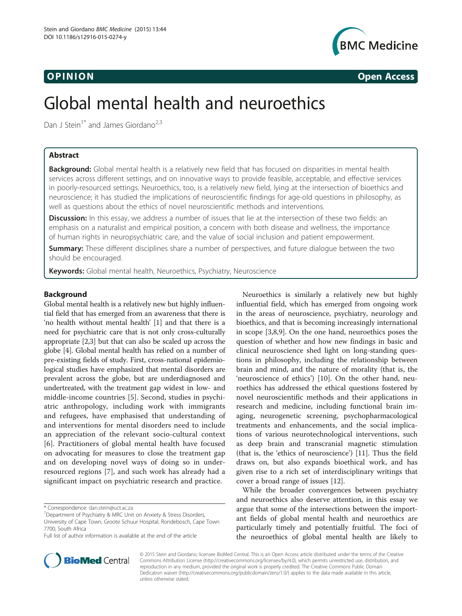

**OPINION** CONSERVATION CONTINUES AND OPEN ACCESS OPEN ACCESS OPEN ACCESS OPEN ACCESS

# Global mental health and neuroethics

Dan J Stein<sup>1\*</sup> and James Giordano<sup>2,3</sup>

# Abstract

Background: Global mental health is a relatively new field that has focused on disparities in mental health services across different settings, and on innovative ways to provide feasible, acceptable, and effective services in poorly-resourced settings. Neuroethics, too, is a relatively new field, lying at the intersection of bioethics and neuroscience; it has studied the implications of neuroscientific findings for age-old questions in philosophy, as well as questions about the ethics of novel neuroscientific methods and interventions.

Discussion: In this essay, we address a number of issues that lie at the intersection of these two fields: an emphasis on a naturalist and empirical position, a concern with both disease and wellness, the importance of human rights in neuropsychiatric care, and the value of social inclusion and patient empowerment.

**Summary:** These different disciplines share a number of perspectives, and future dialogue between the two should be encouraged.

Keywords: Global mental health, Neuroethics, Psychiatry, Neuroscience

# Background

Global mental health is a relatively new but highly influential field that has emerged from an awareness that there is 'no health without mental health' [\[1](#page-4-0)] and that there is a need for psychiatric care that is not only cross-culturally appropriate [[2,3\]](#page-4-0) but that can also be scaled up across the globe [\[4](#page-4-0)]. Global mental health has relied on a number of pre-existing fields of study. First, cross-national epidemiological studies have emphasized that mental disorders are prevalent across the globe, but are underdiagnosed and undertreated, with the treatment gap widest in low- and middle-income countries [[5](#page-4-0)]. Second, studies in psychiatric anthropology, including work with immigrants and refugees, have emphasised that understanding of and interventions for mental disorders need to include an appreciation of the relevant socio-cultural context [[6\]](#page-4-0). Practitioners of global mental health have focused on advocating for measures to close the treatment gap and on developing novel ways of doing so in underresourced regions [[7\]](#page-4-0), and such work has already had a significant impact on psychiatric research and practice.

\* Correspondence: [dan.stein@uct.ac.za](mailto:dan.stein@uct.ac.za) <sup>1</sup>

<sup>1</sup> Department of Psychiatry & MRC Unit on Anxiety & Stress Disorders,



While the broader convergences between psychiatry and neuroethics also deserve attention, in this essay we argue that some of the intersections between the important fields of global mental health and neuroethics are particularly timely and potentially fruitful. The foci of the neuroethics of global mental health are likely to



© 2015 Stein and Giordano; licensee BioMed Central. This is an Open Access article distributed under the terms of the Creative Commons Attribution License [\(http://creativecommons.org/licenses/by/4.0\)](http://creativecommons.org/licenses/by/4.0), which permits unrestricted use, distribution, and reproduction in any medium, provided the original work is properly credited. The Creative Commons Public Domain Dedication waiver [\(http://creativecommons.org/publicdomain/zero/1.0/](http://creativecommons.org/publicdomain/zero/1.0/)) applies to the data made available in this article, unless otherwise stated.

University of Cape Town, Groote Schuur Hospital, Rondebosch, Cape Town 7700, South Africa

Full list of author information is available at the end of the article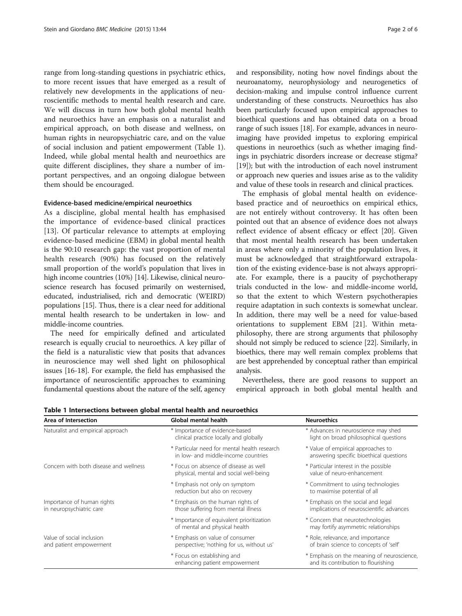<span id="page-1-0"></span>range from long-standing questions in psychiatric ethics, to more recent issues that have emerged as a result of relatively new developments in the applications of neuroscientific methods to mental health research and care. We will discuss in turn how both global mental health and neuroethics have an emphasis on a naturalist and empirical approach, on both disease and wellness, on human rights in neuropsychiatric care, and on the value of social inclusion and patient empowerment (Table 1). Indeed, while global mental health and neuroethics are quite different disciplines, they share a number of important perspectives, and an ongoing dialogue between them should be encouraged.

#### Evidence-based medicine/empirical neuroethics

As a discipline, global mental health has emphasised the importance of evidence-based clinical practices [[13\]](#page-4-0). Of particular relevance to attempts at employing evidence-based medicine (EBM) in global mental health is the 90:10 research gap: the vast proportion of mental health research (90%) has focused on the relatively small proportion of the world's population that lives in high income countries (10%) [[14](#page-4-0)]. Likewise, clinical neuroscience research has focused primarily on westernised, educated, industrialised, rich and democratic (WEIRD) populations [[15](#page-4-0)]. Thus, there is a clear need for additional mental health research to be undertaken in low- and middle-income countries.

The need for empirically defined and articulated research is equally crucial to neuroethics. A key pillar of the field is a naturalistic view that posits that advances in neuroscience may well shed light on philosophical issues [[16](#page-4-0)-[18\]](#page-4-0). For example, the field has emphasised the importance of neuroscientific approaches to examining fundamental questions about the nature of the self, agency and responsibility, noting how novel findings about the neuroanatomy, neurophysiology and neurogenetics of decision-making and impulse control influence current understanding of these constructs. Neuroethics has also been particularly focused upon empirical approaches to bioethical questions and has obtained data on a broad range of such issues [\[18\]](#page-4-0). For example, advances in neuroimaging have provided impetus to exploring empirical questions in neuroethics (such as whether imaging findings in psychiatric disorders increase or decrease stigma? [[19](#page-4-0)]); but with the introduction of each novel instrument or approach new queries and issues arise as to the validity and value of these tools in research and clinical practices.

The emphasis of global mental health on evidencebased practice and of neuroethics on empirical ethics, are not entirely without controversy. It has often been pointed out that an absence of evidence does not always reflect evidence of absent efficacy or effect [[20\]](#page-4-0). Given that most mental health research has been undertaken in areas where only a minority of the population lives, it must be acknowledged that straightforward extrapolation of the existing evidence-base is not always appropriate. For example, there is a paucity of psychotherapy trials conducted in the low- and middle-income world, so that the extent to which Western psychotherapies require adaptation in such contexts is somewhat unclear. In addition, there may well be a need for value-based orientations to supplement EBM [\[21\]](#page-4-0). Within metaphilosophy, there are strong arguments that philosophy should not simply be reduced to science [[22\]](#page-4-0). Similarly, in bioethics, there may well remain complex problems that are best apprehended by conceptual rather than empirical analysis.

Nevertheless, there are good reasons to support an empirical approach in both global mental health and

| Area of Intersection                                   | Global mental health                                                                | <b>Neuroethics</b>                                                               |
|--------------------------------------------------------|-------------------------------------------------------------------------------------|----------------------------------------------------------------------------------|
| Naturalist and empirical approach                      | * Importance of evidence-based<br>clinical practice locally and globally            | * Advances in neuroscience may shed<br>light on broad philosophical questions    |
|                                                        | * Particular need for mental health research<br>in low- and middle-income countries | * Value of empirical approaches to<br>answering specific bioethical questions    |
| Concern with both disease and wellness                 | * Focus on absence of disease as well<br>physical, mental and social well-being     | * Particular interest in the possible<br>value of neuro-enhancement              |
|                                                        | * Emphasis not only on symptom<br>reduction but also on recovery                    | * Commitment to using technologies<br>to maximise potential of all               |
| Importance of human rights<br>in neuropsychiatric care | * Emphasis on the human rights of<br>those suffering from mental illness            | * Emphasis on the social and legal<br>implications of neuroscientific advances   |
|                                                        | * Importance of equivalent prioritization<br>of mental and physical health          | * Concern that neurotechnologies<br>may fortify asymmetric relationships         |
| Value of social inclusion<br>and patient empowerment   | * Emphasis on value of consumer<br>perspective; 'nothing for us, without us'        | * Role, relevance, and importance<br>of brain science to concepts of 'self'      |
|                                                        | * Focus on establishing and<br>enhancing patient empowerment                        | * Emphasis on the meaning of neuroscience<br>and its contribution to flourishing |

Table 1 Intersections between global mental health and neuroethics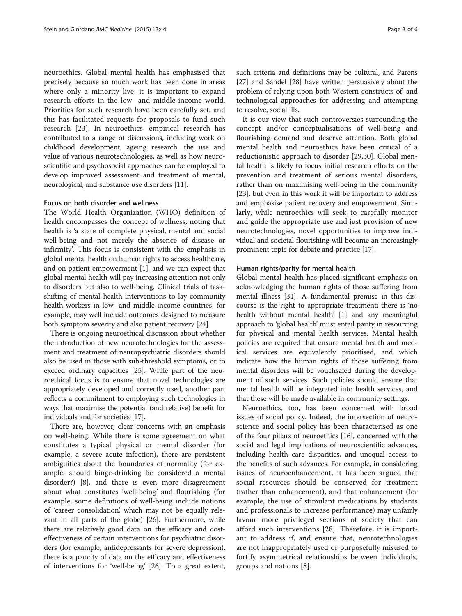neuroethics. Global mental health has emphasised that precisely because so much work has been done in areas where only a minority live, it is important to expand research efforts in the low- and middle-income world. Priorities for such research have been carefully set, and this has facilitated requests for proposals to fund such research [\[23](#page-4-0)]. In neuroethics, empirical research has contributed to a range of discussions, including work on childhood development, ageing research, the use and value of various neurotechnologies, as well as how neuroscientific and psychosocial approaches can be employed to develop improved assessment and treatment of mental, neurological, and substance use disorders [[11](#page-4-0)].

### Focus on both disorder and wellness

The World Health Organization (WHO) definition of health encompasses the concept of wellness, noting that health is 'a state of complete physical, mental and social well-being and not merely the absence of disease or infirmity'. This focus is consistent with the emphasis in global mental health on human rights to access healthcare, and on patient empowerment [\[1](#page-4-0)], and we can expect that global mental health will pay increasing attention not only to disorders but also to well-being. Clinical trials of taskshifting of mental health interventions to lay community health workers in low- and middle-income countries, for example, may well include outcomes designed to measure both symptom severity and also patient recovery [\[24\]](#page-4-0).

There is ongoing neuroethical discussion about whether the introduction of new neurotechnologies for the assessment and treatment of neuropsychiatric disorders should also be used in those with sub-threshold symptoms, or to exceed ordinary capacities [\[25\]](#page-4-0). While part of the neuroethical focus is to ensure that novel technologies are appropriately developed and correctly used, another part reflects a commitment to employing such technologies in ways that maximise the potential (and relative) benefit for individuals and for societies [\[17\]](#page-4-0).

There are, however, clear concerns with an emphasis on well-being. While there is some agreement on what constitutes a typical physical or mental disorder (for example, a severe acute infection), there are persistent ambiguities about the boundaries of normality (for example, should binge-drinking be considered a mental disorder?) [[8\]](#page-4-0), and there is even more disagreement about what constitutes 'well-being' and flourishing (for example, some definitions of well-being include notions of 'career consolidation', which may not be equally relevant in all parts of the globe) [[26](#page-4-0)]. Furthermore, while there are relatively good data on the efficacy and costeffectiveness of certain interventions for psychiatric disorders (for example, antidepressants for severe depression), there is a paucity of data on the efficacy and effectiveness of interventions for 'well-being' [\[26\]](#page-4-0). To a great extent, such criteria and definitions may be cultural, and Parens [[27](#page-4-0)] and Sandel [\[28](#page-5-0)] have written persuasively about the problem of relying upon both Western constructs of, and technological approaches for addressing and attempting to resolve, social ills.

It is our view that such controversies surrounding the concept and/or conceptualisations of well-being and flourishing demand and deserve attention. Both global mental health and neuroethics have been critical of a reductionistic approach to disorder [\[29,30](#page-5-0)]. Global mental health is likely to focus initial research efforts on the prevention and treatment of serious mental disorders, rather than on maximising well-being in the community [[23](#page-4-0)], but even in this work it will be important to address and emphasise patient recovery and empowerment. Similarly, while neuroethics will seek to carefully monitor and guide the appropriate use and just provision of new neurotechnologies, novel opportunities to improve individual and societal flourishing will become an increasingly prominent topic for debate and practice [[17](#page-4-0)].

#### Human rights/parity for mental health

Global mental health has placed significant emphasis on acknowledging the human rights of those suffering from mental illness [\[31\]](#page-5-0). A fundamental premise in this discourse is the right to appropriate treatment; there is 'no health without mental health' [[1\]](#page-4-0) and any meaningful approach to 'global health' must entail parity in resourcing for physical and mental health services. Mental health policies are required that ensure mental health and medical services are equivalently prioritised, and which indicate how the human rights of those suffering from mental disorders will be vouchsafed during the development of such services. Such policies should ensure that mental health will be integrated into health services, and that these will be made available in community settings.

Neuroethics, too, has been concerned with broad issues of social policy. Indeed, the intersection of neuroscience and social policy has been characterised as one of the four pillars of neuroethics [\[16](#page-4-0)], concerned with the social and legal implications of neuroscientific advances, including health care disparities, and unequal access to the benefits of such advances. For example, in considering issues of neuroenhancement, it has been argued that social resources should be conserved for treatment (rather than enhancement), and that enhancement (for example, the use of stimulant medications by students and professionals to increase performance) may unfairly favour more privileged sections of society that can afford such interventions [\[28](#page-5-0)]. Therefore, it is important to address if, and ensure that, neurotechnologies are not inappropriately used or purposefully misused to fortify asymmetrical relationships between individuals, groups and nations [[8\]](#page-4-0).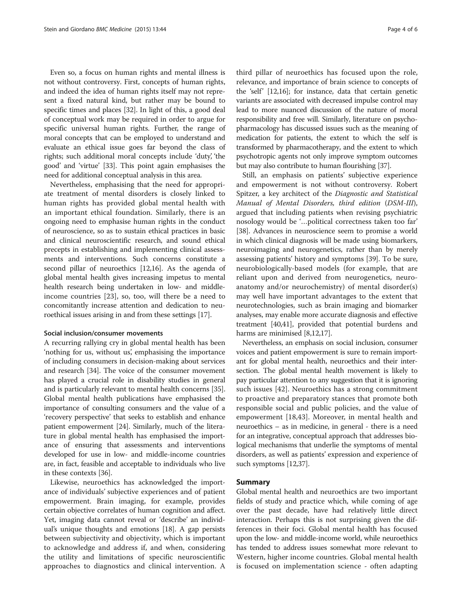Even so, a focus on human rights and mental illness is not without controversy. First, concepts of human rights, and indeed the idea of human rights itself may not represent a fixed natural kind, but rather may be bound to specific times and places [\[32](#page-5-0)]. In light of this, a good deal of conceptual work may be required in order to argue for specific universal human rights. Further, the range of moral concepts that can be employed to understand and evaluate an ethical issue goes far beyond the class of rights; such additional moral concepts include 'duty', 'the good' and 'virtue' [\[33\]](#page-5-0). This point again emphasises the need for additional conceptual analysis in this area.

Nevertheless, emphasising that the need for appropriate treatment of mental disorders is closely linked to human rights has provided global mental health with an important ethical foundation. Similarly, there is an ongoing need to emphasise human rights in the conduct of neuroscience, so as to sustain ethical practices in basic and clinical neuroscientific research, and sound ethical precepts in establishing and implementing clinical assessments and interventions. Such concerns constitute a second pillar of neuroethics [[12,16](#page-4-0)]. As the agenda of global mental health gives increasing impetus to mental health research being undertaken in low- and middleincome countries [\[23](#page-4-0)], so, too, will there be a need to concomitantly increase attention and dedication to neuroethical issues arising in and from these settings [\[17\]](#page-4-0).

# Social inclusion/consumer movements

A recurring rallying cry in global mental health has been 'nothing for us, without us', emphasising the importance of including consumers in decision-making about services and research [\[34\]](#page-5-0). The voice of the consumer movement has played a crucial role in disability studies in general and is particularly relevant to mental health concerns [[35](#page-5-0)]. Global mental health publications have emphasised the importance of consulting consumers and the value of a 'recovery perspective' that seeks to establish and enhance patient empowerment [[24\]](#page-4-0). Similarly, much of the literature in global mental health has emphasised the importance of ensuring that assessments and interventions developed for use in low- and middle-income countries are, in fact, feasible and acceptable to individuals who live in these contexts [[36\]](#page-5-0).

Likewise, neuroethics has acknowledged the importance of individuals' subjective experiences and of patient empowerment. Brain imaging, for example, provides certain objective correlates of human cognition and affect. Yet, imaging data cannot reveal or 'describe' an individual's unique thoughts and emotions [\[18](#page-4-0)]. A gap persists between subjectivity and objectivity, which is important to acknowledge and address if, and when, considering the utility and limitations of specific neuroscientific approaches to diagnostics and clinical intervention. A third pillar of neuroethics has focused upon the role, relevance, and importance of brain science to concepts of the 'self' [[12,16](#page-4-0)]; for instance, data that certain genetic variants are associated with decreased impulse control may lead to more nuanced discussion of the nature of moral responsibility and free will. Similarly, literature on psychopharmacology has discussed issues such as the meaning of medication for patients, the extent to which the self is transformed by pharmacotherapy, and the extent to which psychotropic agents not only improve symptom outcomes but may also contribute to human flourishing [\[37\]](#page-5-0).

Still, an emphasis on patients' subjective experience and empowerment is not without controversy. Robert Spitzer, a key architect of the Diagnostic and Statistical Manual of Mental Disorders, third edition (DSM-III), argued that including patients when revising psychiatric nosology would be '…political correctness taken too far' [[38](#page-5-0)]. Advances in neuroscience seem to promise a world in which clinical diagnosis will be made using biomarkers, neuroimaging and neurogenetics, rather than by merely assessing patients' history and symptoms [\[39\]](#page-5-0). To be sure, neurobiologically-based models (for example, that are reliant upon and derived from neurogenetics, neuroanatomy and/or neurochemistry) of mental disorder(s) may well have important advantages to the extent that neurotechnologies, such as brain imaging and biomarker analyses, may enable more accurate diagnosis and effective treatment [\[40,41\]](#page-5-0), provided that potential burdens and harms are minimised [[8,12,17](#page-4-0)].

Nevertheless, an emphasis on social inclusion, consumer voices and patient empowerment is sure to remain important for global mental health, neuroethics and their intersection. The global mental health movement is likely to pay particular attention to any suggestion that it is ignoring such issues [[42\]](#page-5-0). Neuroethics has a strong commitment to proactive and preparatory stances that promote both responsible social and public policies, and the value of empowerment [[18,](#page-4-0)[43](#page-5-0)]. Moreover, in mental health and neuroethics – as in medicine, in general - there is a need for an integrative, conceptual approach that addresses biological mechanisms that underlie the symptoms of mental disorders, as well as patients' expression and experience of such symptoms [[12](#page-4-0)[,37\]](#page-5-0).

# Summary

Global mental health and neuroethics are two important fields of study and practice which, while coming of age over the past decade, have had relatively little direct interaction. Perhaps this is not surprising given the differences in their foci. Global mental health has focused upon the low- and middle-income world, while neuroethics has tended to address issues somewhat more relevant to Western, higher income countries. Global mental health is focused on implementation science - often adapting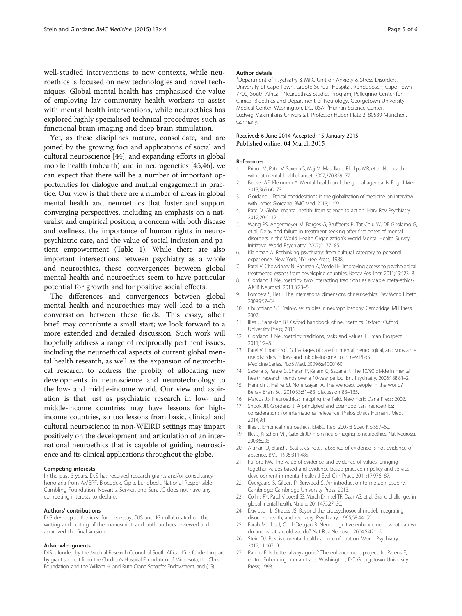<span id="page-4-0"></span>well-studied interventions to new contexts, while neuroethics is focused on new technologies and novel techniques. Global mental health has emphasised the value of employing lay community health workers to assist with mental health interventions, while neuroethics has explored highly specialised technical procedures such as functional brain imaging and deep brain stimulation.

Yet, as these disciplines mature, consolidate, and are joined by the growing foci and applications of social and cultural neuroscience [\[44\]](#page-5-0), and expanding efforts in global mobile health (mhealth) and in neurogenetics [\[45,46\]](#page-5-0), we can expect that there will be a number of important opportunities for dialogue and mutual engagement in practice. Our view is that there are a number of areas in global mental health and neuroethics that foster and support converging perspectives, including an emphasis on a naturalist and empirical position, a concern with both disease and wellness, the importance of human rights in neuropsychiatric care, and the value of social inclusion and patient empowerment (Table [1](#page-1-0)). While there are also important intersections between psychiatry as a whole and neuroethics, these convergences between global mental health and neuroethics seem to have particular potential for growth and for positive social effects.

The differences and convergences between global mental health and neuroethics may well lead to a rich conversation between these fields. This essay, albeit brief, may contribute a small start; we look forward to a more extended and detailed discussion. Such work will hopefully address a range of reciprocally pertinent issues, including the neuroethical aspects of current global mental health research, as well as the expansion of neuroethical research to address the probity of allocating new developments in neuroscience and neurotechnology to the low- and middle-income world. Our view and aspiration is that just as psychiatric research in low- and middle-income countries may have lessons for highincome countries, so too lessons from basic, clinical and cultural neuroscience in non-WEIRD settings may impact positively on the development and articulation of an international neuroethics that is capable of guiding neuroscience and its clinical applications throughout the globe.

#### Competing interests

In the past 3 years, DJS has received research grants and/or consultancy honoraria from AMBRF, Biocodex, Cipla, Lundbeck, National Responsible Gambling Foundation, Novartis, Servier, and Sun. JG does not have any competing interests to declare.

#### Authors' contributions

DJS developed the idea for this essay; DJS and JG collaborated on the writing and editing of the manuscript, and both authors reviewed and approved the final version.

#### Acknowledgments

DJS is funded by the Medical Research Council of South Africa. JG is funded, in part, by grant support from the Children's Hospital Foundation of Minnesota, the Clark Foundation, and the William H. and Ruth Crane Schaefer Endowment. and (JG).

#### Author details

<sup>1</sup>Department of Psychiatry & MRC Unit on Anxiety & Stress Disorders, University of Cape Town, Groote Schuur Hospital, Rondebosch, Cape Town 7700, South Africa. <sup>2</sup>Neuroethics Studies Program, Pellegrino Center for Clinical Bioethics and Department of Neurology, Georgetown University Medical Center, Washington, DC, USA. <sup>3</sup>Human Science Center, Ludwig-Maximilians Universität, Professor-Huber-Platz 2, 80539 München, Germany.

### Received: 6 June 2014 Accepted: 15 January 2015 Published online: 04 March 2015

#### References

- 1. Prince M, Patel V, Saxena S, Maj M, Maselko J, Phillips MR, et al. No health without mental health. Lancet. 2007;370:859–77.
- 2. Becker AE, Kleinman A. Mental health and the global agenda. N Engl J Med. 2013;369:66–73.
- 3. Giordano J. Ethical considerations in the globalization of medicine–an interview with James Giordano. BMC Med. 2013;11:69.
- 4. Patel V. Global mental health: from science to action. Harv Rev Psychiatry. 2012;20:6–12.
- 5. Wang PS, Angermeyer M, Borges G, Bruffaerts R, Tat Chiu W, DE Girolamo G, et al. Delay and failure in treatment seeking after first onset of mental disorders in the World Health Organization's World Mental Health Survey Initiative. World Psychiatry. 2007;6:177–85.
- 6. Kleinman A. Rethinking psychiatry: from cultural category to personal experience. New York, NY: Free Press; 1988.
- 7. Patel V, Chowdhary N, Rahman A, Verdeli H. Improving access to psychological treatments: lessons from developing countries. Behav Res Ther. 2011;49:523–8.
- 8. Giordano J. Neuroethics- two interacting traditions as a viable meta-ethics? AJOB Neurosci. 2011;3:23–5.
- 9. Lombera S, Illes J. The international dimensions of neuroethics. Dev World Bioeth. 2009;9:57–64.
- 10. Churchland SP. Brain-wise: studies in neurophilosophy. Cambridge: MIT Press; 2002.
- 11. Illes J, Sahakian BJ. Oxford handbook of neuroethics. Oxford: Oxford University Press; 2011.
- 12. Giordano J. Neuroethics: traditions, tasks and values. Human Prospect. 2011;1:2–8.
- 13. Patel V, Thornicroft G. Packages of care for mental, neurological, and substance use disorders in low- and middle-income countries: PLoS Medicine Series. PLoS Med. 2009;6:e1000160.
- 14. Saxena S, Paraje G, Sharan P, Karam G, Sadana R. The 10/90 divide in mental health research: trends over a 10-year period. Br J Psychiatry. 2006;188:81–2.
- 15. Henrich J, Heine SJ, Norenzayan A. The weirdest people in the world? Behav Brain Sci. 2010;33:61–83. discussion 83–135.
- 16. Marcus JS. Neuroethics: mapping the field. New York: Dana Press; 2002.
- 17. Shook JR, Giordano J. A principled and cosmopolitan neuroethics: considerations for international relevance. Philos Ethics Humanit Med. 2014;9:1.
- 18. Illes J. Empirical neuroethics. EMBO Rep. 2007;8 Spec No:S57–60.
- 19. Illes J, Kirschen MP, Gabrieli JD. From neuroimaging to neuroethics. Nat Neurosci. 2003;6:205.
- 20. Altman D, Bland J. Statistics notes: absence of evidence is not evidence of absence. BMJ. 1995;311:485.
- 21. Fulford KW. The value of evidence and evidence of values: bringing together values-based and evidence-based practice in policy and service development in mental health. J Eval Clin Pract. 2011;17:976–87.
- 22. Overgaard S, Gilbert P, Burwood S. An introduction to metaphilosophy. Cambridge: Cambridge University Press; 2013.
- 23. Collins PY, Patel V, Joestl SS, March D, Insel TR, Daar AS, et al. Grand challenges in global mental health. Nature. 2011;475:27–30.
- 24. Davidson L, Strauss JS. Beyond the biopsychosocial model: integrating disorder, health, and recovery. Psychiatry. 1995;58:44–55.
- 25. Farah M, Illes J, Cook-Deegan R. Neurocognitive enhancement: what can we do and what should we do? Nat Rev Neurosci. 2004;5:421–5.
- 26. Stein DJ. Positive mental health: a note of caution. World Psychiatry. 2012;11:107–9.
- 27. Parens E. Is better always good? The enhancement project. In: Parens E, editor. Enhancing human traits. Washington, DC: Georgetown University Press; 1998.